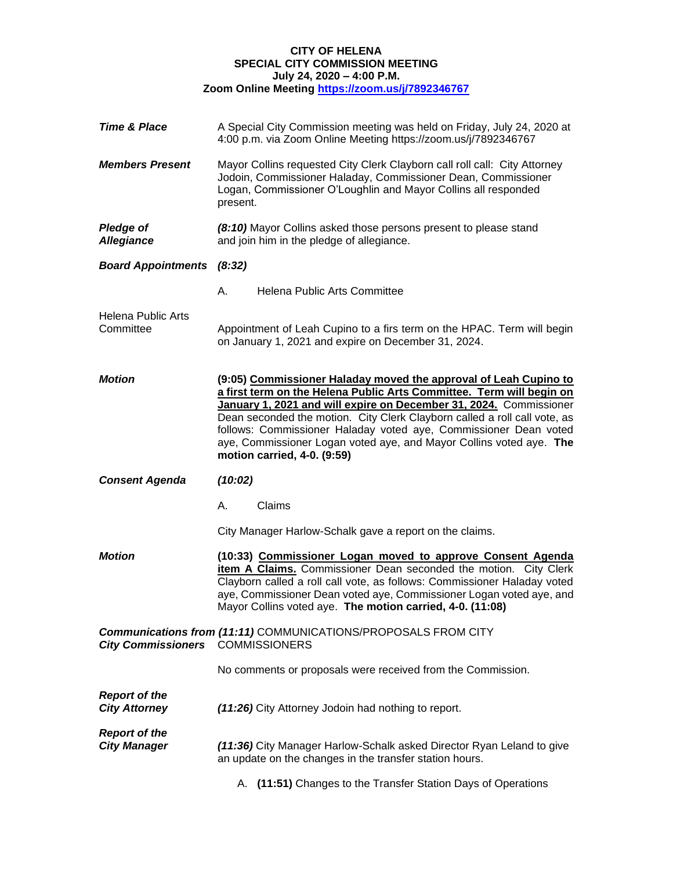### **CITY OF HELENA SPECIAL CITY COMMISSION MEETING July 24, 2020 – 4:00 P.M.**

**Zoom Online Meeting<https://zoom.us/j/7892346767>**

| <b>Time &amp; Place</b>                      | A Special City Commission meeting was held on Friday, July 24, 2020 at<br>4:00 p.m. via Zoom Online Meeting https://zoom.us/j/7892346767                                                                                                                                                                                                                                                                                                                              |
|----------------------------------------------|-----------------------------------------------------------------------------------------------------------------------------------------------------------------------------------------------------------------------------------------------------------------------------------------------------------------------------------------------------------------------------------------------------------------------------------------------------------------------|
| <b>Members Present</b>                       | Mayor Collins requested City Clerk Clayborn call roll call: City Attorney<br>Jodoin, Commissioner Haladay, Commissioner Dean, Commissioner<br>Logan, Commissioner O'Loughlin and Mayor Collins all responded<br>present.                                                                                                                                                                                                                                              |
| <b>Pledge of</b><br><b>Allegiance</b>        | (8:10) Mayor Collins asked those persons present to please stand<br>and join him in the pledge of allegiance.                                                                                                                                                                                                                                                                                                                                                         |
| <b>Board Appointments (8:32)</b>             |                                                                                                                                                                                                                                                                                                                                                                                                                                                                       |
|                                              | <b>Helena Public Arts Committee</b><br>А.                                                                                                                                                                                                                                                                                                                                                                                                                             |
| <b>Helena Public Arts</b><br>Committee       | Appointment of Leah Cupino to a firs term on the HPAC. Term will begin<br>on January 1, 2021 and expire on December 31, 2024.                                                                                                                                                                                                                                                                                                                                         |
| <b>Motion</b>                                | (9:05) Commissioner Haladay moved the approval of Leah Cupino to<br>a first term on the Helena Public Arts Committee. Term will begin on<br>January 1, 2021 and will expire on December 31, 2024. Commissioner<br>Dean seconded the motion. City Clerk Clayborn called a roll call vote, as<br>follows: Commissioner Haladay voted aye, Commissioner Dean voted<br>aye, Commissioner Logan voted aye, and Mayor Collins voted aye. The<br>motion carried, 4-0. (9:59) |
| <b>Consent Agenda</b>                        | (10:02)                                                                                                                                                                                                                                                                                                                                                                                                                                                               |
|                                              | Claims<br>А.                                                                                                                                                                                                                                                                                                                                                                                                                                                          |
|                                              | City Manager Harlow-Schalk gave a report on the claims.                                                                                                                                                                                                                                                                                                                                                                                                               |
| <b>Motion</b>                                | (10:33) Commissioner Logan moved to approve Consent Agenda<br>item A Claims. Commissioner Dean seconded the motion. City Clerk<br>Clayborn called a roll call vote, as follows: Commissioner Haladay voted<br>aye, Commissioner Dean voted aye, Commissioner Logan voted aye, and<br>Mayor Collins voted aye. The motion carried, 4-0. (11:08)                                                                                                                        |
| <b>City Commissioners</b>                    | <b>Communications from (11:11) COMMUNICATIONS/PROPOSALS FROM CITY</b><br><b>COMMISSIONERS</b>                                                                                                                                                                                                                                                                                                                                                                         |
|                                              | No comments or proposals were received from the Commission.                                                                                                                                                                                                                                                                                                                                                                                                           |
| <b>Report of the</b><br><b>City Attorney</b> | (11:26) City Attorney Jodoin had nothing to report.                                                                                                                                                                                                                                                                                                                                                                                                                   |
| <b>Report of the</b><br><b>City Manager</b>  | (11:36) City Manager Harlow-Schalk asked Director Ryan Leland to give<br>an update on the changes in the transfer station hours.                                                                                                                                                                                                                                                                                                                                      |
|                                              | A. (11:51) Changes to the Transfer Station Days of Operations                                                                                                                                                                                                                                                                                                                                                                                                         |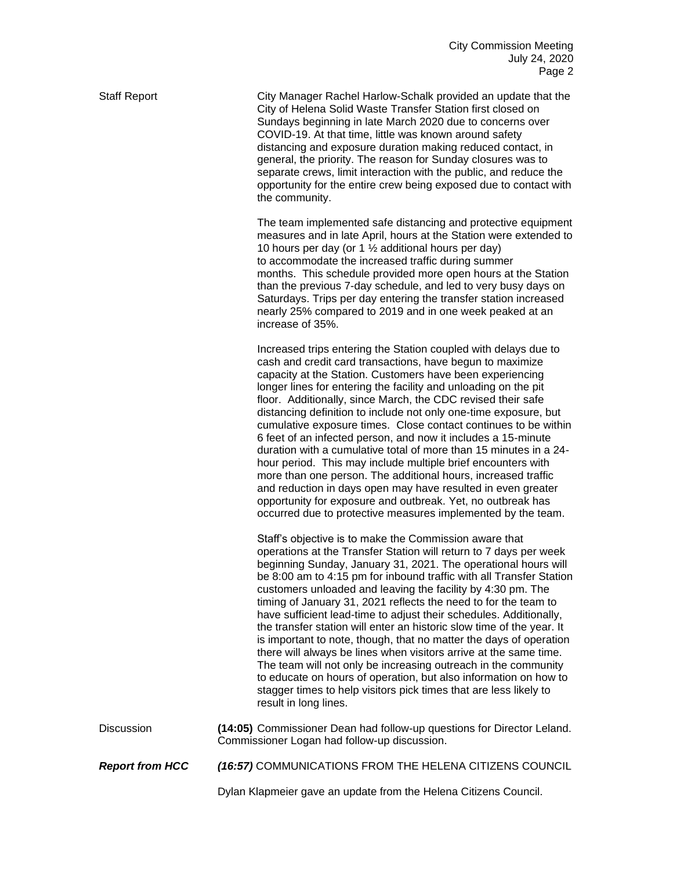Staff Report City Manager Rachel Harlow-Schalk provided an update that the City of Helena Solid Waste Transfer Station first closed on Sundays beginning in late March 2020 due to concerns over COVID-19. At that time, little was known around safety distancing and exposure duration making reduced contact, in general, the priority. The reason for Sunday closures was to separate crews, limit interaction with the public, and reduce the opportunity for the entire crew being exposed due to contact with the community.

> The team implemented safe distancing and protective equipment measures and in late April, hours at the Station were extended to 10 hours per day (or 1  $\frac{1}{2}$  additional hours per day) to accommodate the increased traffic during summer months. This schedule provided more open hours at the Station than the previous 7-day schedule, and led to very busy days on Saturdays. Trips per day entering the transfer station increased nearly 25% compared to 2019 and in one week peaked at an increase of 35%.

> Increased trips entering the Station coupled with delays due to cash and credit card transactions, have begun to maximize capacity at the Station. Customers have been experiencing longer lines for entering the facility and unloading on the pit floor. Additionally, since March, the CDC revised their safe distancing definition to include not only one-time exposure, but cumulative exposure times. Close contact continues to be within 6 feet of an infected person, and now it includes a 15-minute duration with a cumulative total of more than 15 minutes in a 24 hour period. This may include multiple brief encounters with more than one person. The additional hours, increased traffic and reduction in days open may have resulted in even greater opportunity for exposure and outbreak. Yet, no outbreak has occurred due to protective measures implemented by the team.

> Staff's objective is to make the Commission aware that operations at the Transfer Station will return to 7 days per week beginning Sunday, January 31, 2021. The operational hours will be 8:00 am to 4:15 pm for inbound traffic with all Transfer Station customers unloaded and leaving the facility by 4:30 pm. The timing of January 31, 2021 reflects the need to for the team to have sufficient lead-time to adjust their schedules. Additionally, the transfer station will enter an historic slow time of the year. It is important to note, though, that no matter the days of operation there will always be lines when visitors arrive at the same time. The team will not only be increasing outreach in the community to educate on hours of operation, but also information on how to stagger times to help visitors pick times that are less likely to result in long lines.

Discussion **(14:05)** Commissioner Dean had follow-up questions for Director Leland. Commissioner Logan had follow-up discussion.

*Report from HCC (16:57)* COMMUNICATIONS FROM THE HELENA CITIZENS COUNCIL

Dylan Klapmeier gave an update from the Helena Citizens Council.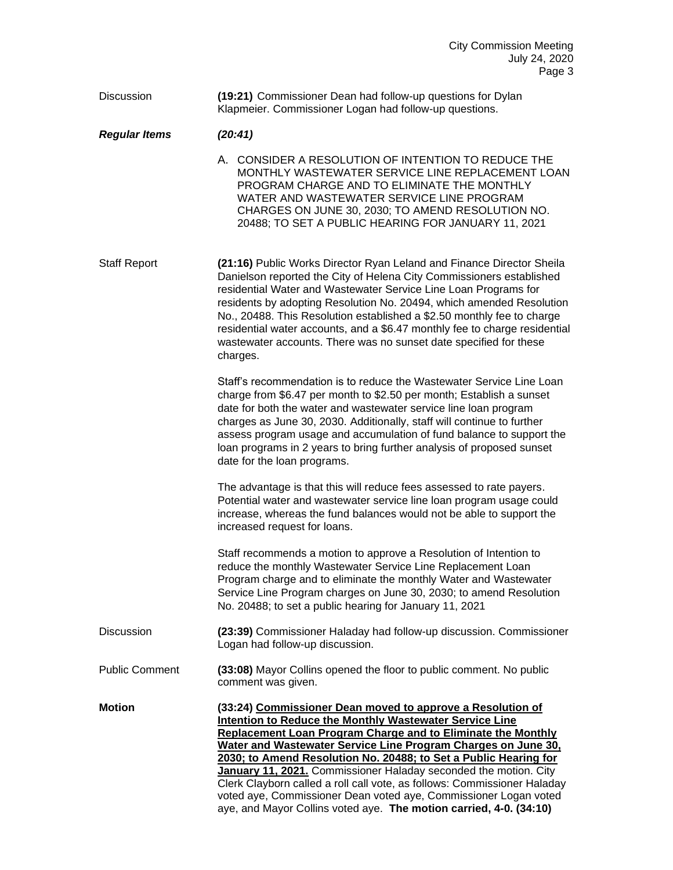#### Discussion **(19:21)** Commissioner Dean had follow-up questions for Dylan Klapmeier. Commissioner Logan had follow-up questions.

#### *Regular Items (20:41)*

A. CONSIDER A RESOLUTION OF INTENTION TO REDUCE THE MONTHLY WASTEWATER SERVICE LINE REPLACEMENT LOAN PROGRAM CHARGE AND TO ELIMINATE THE MONTHLY WATER AND WASTEWATER SERVICE LINE PROGRAM CHARGES ON JUNE 30, 2030; TO AMEND RESOLUTION NO. 20488; TO SET A PUBLIC HEARING FOR JANUARY 11, 2021

Staff Report **(21:16)** Public Works Director Ryan Leland and Finance Director Sheila Danielson reported the City of Helena City Commissioners established residential Water and Wastewater Service Line Loan Programs for residents by adopting Resolution No. 20494, which amended Resolution No., 20488. This Resolution established a \$2.50 monthly fee to charge residential water accounts, and a \$6.47 monthly fee to charge residential wastewater accounts. There was no sunset date specified for these charges.

> Staff's recommendation is to reduce the Wastewater Service Line Loan charge from \$6.47 per month to \$2.50 per month; Establish a sunset date for both the water and wastewater service line loan program charges as June 30, 2030. Additionally, staff will continue to further assess program usage and accumulation of fund balance to support the loan programs in 2 years to bring further analysis of proposed sunset date for the loan programs.

The advantage is that this will reduce fees assessed to rate payers. Potential water and wastewater service line loan program usage could increase, whereas the fund balances would not be able to support the increased request for loans.

Staff recommends a motion to approve a Resolution of Intention to reduce the monthly Wastewater Service Line Replacement Loan Program charge and to eliminate the monthly Water and Wastewater Service Line Program charges on June 30, 2030; to amend Resolution No. 20488; to set a public hearing for January 11, 2021

Discussion **(23:39)** Commissioner Haladay had follow-up discussion. Commissioner Logan had follow-up discussion.

Public Comment **(33:08)** Mayor Collins opened the floor to public comment. No public comment was given.

**Motion (33:24) Commissioner Dean moved to approve a Resolution of Intention to Reduce the Monthly Wastewater Service Line Replacement Loan Program Charge and to Eliminate the Monthly Water and Wastewater Service Line Program Charges on June 30, 2030; to Amend Resolution No. 20488; to Set a Public Hearing for January 11, 2021.** Commissioner Haladay seconded the motion. City Clerk Clayborn called a roll call vote, as follows: Commissioner Haladay voted aye, Commissioner Dean voted aye, Commissioner Logan voted aye, and Mayor Collins voted aye. **The motion carried, 4-0. (34:10)**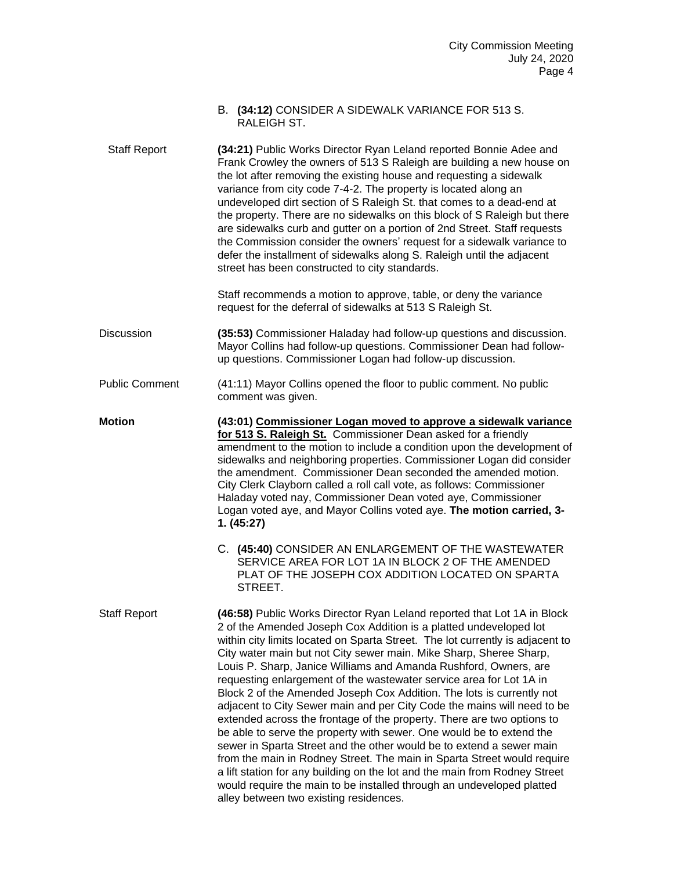|                       | B. (34:12) CONSIDER A SIDEWALK VARIANCE FOR 513 S.<br>RALEIGH ST.                                                                                                                                                                                                                                                                                                                                                                                                                                                                                                                                                                                                                                                                                                                                                                                                                                                                                                                                                                                              |
|-----------------------|----------------------------------------------------------------------------------------------------------------------------------------------------------------------------------------------------------------------------------------------------------------------------------------------------------------------------------------------------------------------------------------------------------------------------------------------------------------------------------------------------------------------------------------------------------------------------------------------------------------------------------------------------------------------------------------------------------------------------------------------------------------------------------------------------------------------------------------------------------------------------------------------------------------------------------------------------------------------------------------------------------------------------------------------------------------|
| <b>Staff Report</b>   | (34:21) Public Works Director Ryan Leland reported Bonnie Adee and<br>Frank Crowley the owners of 513 S Raleigh are building a new house on<br>the lot after removing the existing house and requesting a sidewalk<br>variance from city code 7-4-2. The property is located along an<br>undeveloped dirt section of S Raleigh St. that comes to a dead-end at<br>the property. There are no sidewalks on this block of S Raleigh but there<br>are sidewalks curb and gutter on a portion of 2nd Street. Staff requests<br>the Commission consider the owners' request for a sidewalk variance to<br>defer the installment of sidewalks along S. Raleigh until the adjacent<br>street has been constructed to city standards.                                                                                                                                                                                                                                                                                                                                  |
|                       | Staff recommends a motion to approve, table, or deny the variance<br>request for the deferral of sidewalks at 513 S Raleigh St.                                                                                                                                                                                                                                                                                                                                                                                                                                                                                                                                                                                                                                                                                                                                                                                                                                                                                                                                |
| <b>Discussion</b>     | (35:53) Commissioner Haladay had follow-up questions and discussion.<br>Mayor Collins had follow-up questions. Commissioner Dean had follow-<br>up questions. Commissioner Logan had follow-up discussion.                                                                                                                                                                                                                                                                                                                                                                                                                                                                                                                                                                                                                                                                                                                                                                                                                                                     |
| <b>Public Comment</b> | (41:11) Mayor Collins opened the floor to public comment. No public<br>comment was given.                                                                                                                                                                                                                                                                                                                                                                                                                                                                                                                                                                                                                                                                                                                                                                                                                                                                                                                                                                      |
| <b>Motion</b>         | (43:01) Commissioner Logan moved to approve a sidewalk variance<br>for 513 S. Raleigh St. Commissioner Dean asked for a friendly<br>amendment to the motion to include a condition upon the development of<br>sidewalks and neighboring properties. Commissioner Logan did consider<br>the amendment. Commissioner Dean seconded the amended motion.<br>City Clerk Clayborn called a roll call vote, as follows: Commissioner<br>Haladay voted nay, Commissioner Dean voted aye, Commissioner<br>Logan voted aye, and Mayor Collins voted aye. The motion carried, 3-<br>1. (45:27)                                                                                                                                                                                                                                                                                                                                                                                                                                                                            |
|                       | C. (45:40) CONSIDER AN ENLARGEMENT OF THE WASTEWATER<br>SERVICE AREA FOR LOT 1A IN BLOCK 2 OF THE AMENDED<br>PLAT OF THE JOSEPH COX ADDITION LOCATED ON SPARTA<br>STREET.                                                                                                                                                                                                                                                                                                                                                                                                                                                                                                                                                                                                                                                                                                                                                                                                                                                                                      |
| <b>Staff Report</b>   | (46:58) Public Works Director Ryan Leland reported that Lot 1A in Block<br>2 of the Amended Joseph Cox Addition is a platted undeveloped lot<br>within city limits located on Sparta Street. The lot currently is adjacent to<br>City water main but not City sewer main. Mike Sharp, Sheree Sharp,<br>Louis P. Sharp, Janice Williams and Amanda Rushford, Owners, are<br>requesting enlargement of the wastewater service area for Lot 1A in<br>Block 2 of the Amended Joseph Cox Addition. The lots is currently not<br>adjacent to City Sewer main and per City Code the mains will need to be<br>extended across the frontage of the property. There are two options to<br>be able to serve the property with sewer. One would be to extend the<br>sewer in Sparta Street and the other would be to extend a sewer main<br>from the main in Rodney Street. The main in Sparta Street would require<br>a lift station for any building on the lot and the main from Rodney Street<br>would require the main to be installed through an undeveloped platted |

alley between two existing residences.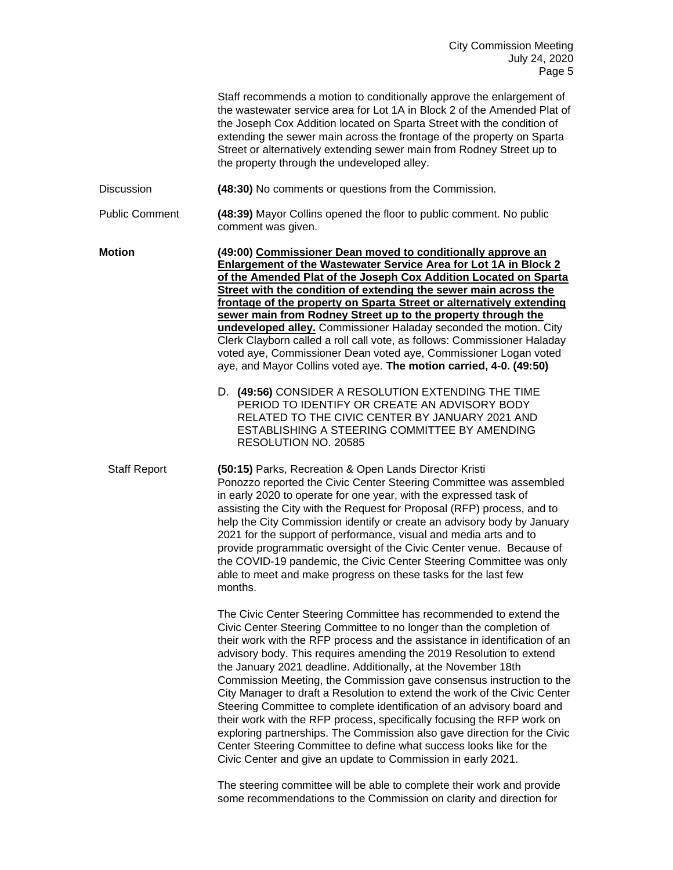|                       | Staff recommends a motion to conditionally approve the enlargement of<br>the wastewater service area for Lot 1A in Block 2 of the Amended Plat of<br>the Joseph Cox Addition located on Sparta Street with the condition of<br>extending the sewer main across the frontage of the property on Sparta<br>Street or alternatively extending sewer main from Rodney Street up to<br>the property through the undeveloped alley.                                                                                                                                                                                                                                                                                                                                                                                                                                                              |
|-----------------------|--------------------------------------------------------------------------------------------------------------------------------------------------------------------------------------------------------------------------------------------------------------------------------------------------------------------------------------------------------------------------------------------------------------------------------------------------------------------------------------------------------------------------------------------------------------------------------------------------------------------------------------------------------------------------------------------------------------------------------------------------------------------------------------------------------------------------------------------------------------------------------------------|
| <b>Discussion</b>     | (48:30) No comments or questions from the Commission.                                                                                                                                                                                                                                                                                                                                                                                                                                                                                                                                                                                                                                                                                                                                                                                                                                      |
| <b>Public Comment</b> | (48:39) Mayor Collins opened the floor to public comment. No public<br>comment was given.                                                                                                                                                                                                                                                                                                                                                                                                                                                                                                                                                                                                                                                                                                                                                                                                  |
| <b>Motion</b>         | (49:00) Commissioner Dean moved to conditionally approve an<br><b>Enlargement of the Wastewater Service Area for Lot 1A in Block 2</b><br>of the Amended Plat of the Joseph Cox Addition Located on Sparta<br>Street with the condition of extending the sewer main across the<br>frontage of the property on Sparta Street or alternatively extending<br>sewer main from Rodney Street up to the property through the<br>undeveloped alley. Commissioner Haladay seconded the motion. City<br>Clerk Clayborn called a roll call vote, as follows: Commissioner Haladay<br>voted aye, Commissioner Dean voted aye, Commissioner Logan voted<br>aye, and Mayor Collins voted aye. The motion carried, 4-0. (49:50)<br>D. (49:56) CONSIDER A RESOLUTION EXTENDING THE TIME                                                                                                                   |
|                       | PERIOD TO IDENTIFY OR CREATE AN ADVISORY BODY<br>RELATED TO THE CIVIC CENTER BY JANUARY 2021 AND<br>ESTABLISHING A STEERING COMMITTEE BY AMENDING<br>RESOLUTION NO. 20585                                                                                                                                                                                                                                                                                                                                                                                                                                                                                                                                                                                                                                                                                                                  |
| <b>Staff Report</b>   | (50:15) Parks, Recreation & Open Lands Director Kristi<br>Ponozzo reported the Civic Center Steering Committee was assembled<br>in early 2020 to operate for one year, with the expressed task of<br>assisting the City with the Request for Proposal (RFP) process, and to<br>help the City Commission identify or create an advisory body by January<br>2021 for the support of performance, visual and media arts and to<br>provide programmatic oversight of the Civic Center venue. Because of<br>the COVID-19 pandemic, the Civic Center Steering Committee was only<br>able to meet and make progress on these tasks for the last few<br>months.                                                                                                                                                                                                                                    |
|                       | The Civic Center Steering Committee has recommended to extend the<br>Civic Center Steering Committee to no longer than the completion of<br>their work with the RFP process and the assistance in identification of an<br>advisory body. This requires amending the 2019 Resolution to extend<br>the January 2021 deadline. Additionally, at the November 18th<br>Commission Meeting, the Commission gave consensus instruction to the<br>City Manager to draft a Resolution to extend the work of the Civic Center<br>Steering Committee to complete identification of an advisory board and<br>their work with the RFP process, specifically focusing the RFP work on<br>exploring partnerships. The Commission also gave direction for the Civic<br>Center Steering Committee to define what success looks like for the<br>Civic Center and give an update to Commission in early 2021. |

The steering committee will be able to complete their work and provide some recommendations to the Commission on clarity and direction for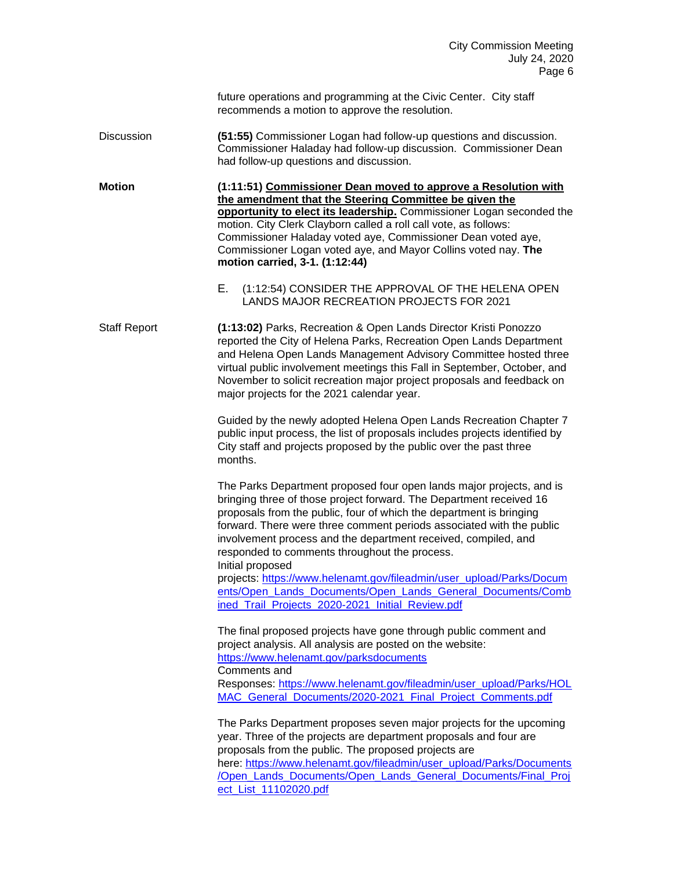future operations and programming at the Civic Center. City staff recommends a motion to approve the resolution.

Discussion **(51:55)** Commissioner Logan had follow-up questions and discussion. Commissioner Haladay had follow-up discussion. Commissioner Dean had follow-up questions and discussion.

**Motion (1:11:51) Commissioner Dean moved to approve a Resolution with the amendment that the Steering Committee be given the opportunity to elect its leadership.** Commissioner Logan seconded the motion. City Clerk Clayborn called a roll call vote, as follows: Commissioner Haladay voted aye, Commissioner Dean voted aye, Commissioner Logan voted aye, and Mayor Collins voted nay. **The motion carried, 3-1. (1:12:44)**

> E. (1:12:54) CONSIDER THE APPROVAL OF THE HELENA OPEN LANDS MAJOR RECREATION PROJECTS FOR 2021

Staff Report **(1:13:02)** Parks, Recreation & Open Lands Director Kristi Ponozzo reported the City of Helena Parks, Recreation Open Lands Department and Helena Open Lands Management Advisory Committee hosted three virtual public involvement meetings this Fall in September, October, and November to solicit recreation major project proposals and feedback on major projects for the 2021 calendar year.

> Guided by the newly adopted Helena Open Lands Recreation Chapter 7 public input process, the list of proposals includes projects identified by City staff and projects proposed by the public over the past three months.

The Parks Department proposed four open lands major projects, and is bringing three of those project forward. The Department received 16 proposals from the public, four of which the department is bringing forward. There were three comment periods associated with the public involvement process and the department received, compiled, and responded to comments throughout the process.

Initial proposed

projects: [https://www.helenamt.gov/fileadmin/user\\_upload/Parks/Docum](https://www.helenamt.gov/fileadmin/user_upload/Parks/Documents/Open_Lands_Documents/Open_Lands_General_Documents/Combined_Trail_Projects_2020-2021_Initial_Review.pdf) [ents/Open\\_Lands\\_Documents/Open\\_Lands\\_General\\_Documents/Comb](https://www.helenamt.gov/fileadmin/user_upload/Parks/Documents/Open_Lands_Documents/Open_Lands_General_Documents/Combined_Trail_Projects_2020-2021_Initial_Review.pdf) [ined\\_Trail\\_Projects\\_2020-2021\\_Initial\\_Review.pdf](https://www.helenamt.gov/fileadmin/user_upload/Parks/Documents/Open_Lands_Documents/Open_Lands_General_Documents/Combined_Trail_Projects_2020-2021_Initial_Review.pdf)

The final proposed projects have gone through public comment and project analysis. All analysis are posted on the website: <https://www.helenamt.gov/parksdocuments> Comments and Responses: [https://www.helenamt.gov/fileadmin/user\\_upload/Parks/HOL](https://www.helenamt.gov/fileadmin/user_upload/Parks/HOLMAC_General_Documents/2020-2021_Final_Project_Comments.pdf) [MAC\\_General\\_Documents/2020-2021\\_Final\\_Project\\_Comments.pdf](https://www.helenamt.gov/fileadmin/user_upload/Parks/HOLMAC_General_Documents/2020-2021_Final_Project_Comments.pdf)

The Parks Department proposes seven major projects for the upcoming year. Three of the projects are department proposals and four are proposals from the public. The proposed projects are here: [https://www.helenamt.gov/fileadmin/user\\_upload/Parks/Documents](https://www.helenamt.gov/fileadmin/user_upload/Parks/Documents/Open_Lands_Documents/Open_Lands_General_Documents/Final_Project_List_11102020.pdf) [/Open\\_Lands\\_Documents/Open\\_Lands\\_General\\_Documents/Final\\_Proj](https://www.helenamt.gov/fileadmin/user_upload/Parks/Documents/Open_Lands_Documents/Open_Lands_General_Documents/Final_Project_List_11102020.pdf) [ect\\_List\\_11102020.pdf](https://www.helenamt.gov/fileadmin/user_upload/Parks/Documents/Open_Lands_Documents/Open_Lands_General_Documents/Final_Project_List_11102020.pdf)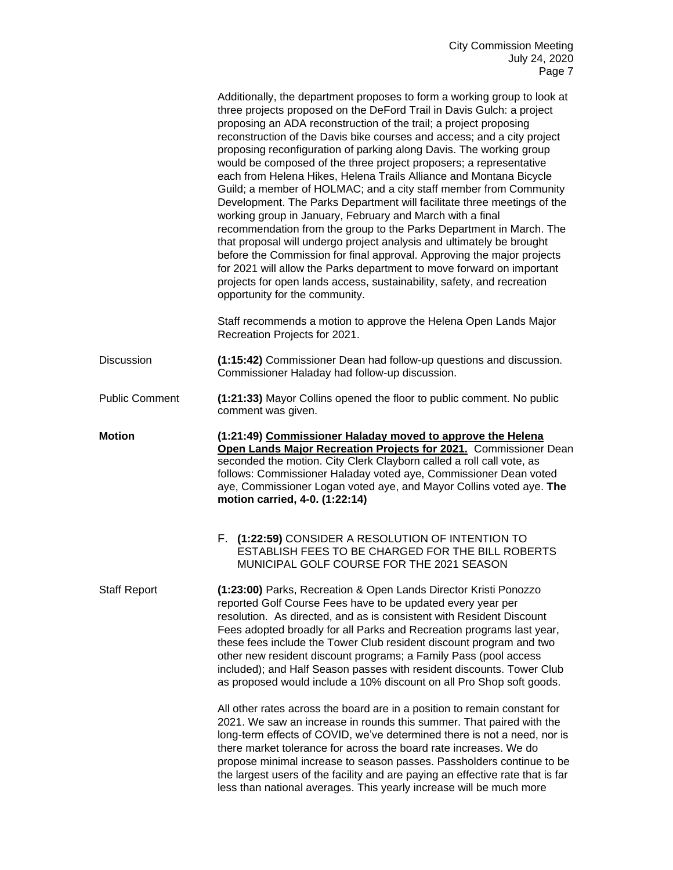|                       | Additionally, the department proposes to form a working group to look at<br>three projects proposed on the DeFord Trail in Davis Gulch: a project<br>proposing an ADA reconstruction of the trail; a project proposing<br>reconstruction of the Davis bike courses and access; and a city project<br>proposing reconfiguration of parking along Davis. The working group<br>would be composed of the three project proposers; a representative<br>each from Helena Hikes, Helena Trails Alliance and Montana Bicycle<br>Guild; a member of HOLMAC; and a city staff member from Community<br>Development. The Parks Department will facilitate three meetings of the<br>working group in January, February and March with a final<br>recommendation from the group to the Parks Department in March. The<br>that proposal will undergo project analysis and ultimately be brought<br>before the Commission for final approval. Approving the major projects<br>for 2021 will allow the Parks department to move forward on important<br>projects for open lands access, sustainability, safety, and recreation<br>opportunity for the community. |
|-----------------------|--------------------------------------------------------------------------------------------------------------------------------------------------------------------------------------------------------------------------------------------------------------------------------------------------------------------------------------------------------------------------------------------------------------------------------------------------------------------------------------------------------------------------------------------------------------------------------------------------------------------------------------------------------------------------------------------------------------------------------------------------------------------------------------------------------------------------------------------------------------------------------------------------------------------------------------------------------------------------------------------------------------------------------------------------------------------------------------------------------------------------------------------------|
|                       | Staff recommends a motion to approve the Helena Open Lands Major<br>Recreation Projects for 2021.                                                                                                                                                                                                                                                                                                                                                                                                                                                                                                                                                                                                                                                                                                                                                                                                                                                                                                                                                                                                                                                |
| <b>Discussion</b>     | (1:15:42) Commissioner Dean had follow-up questions and discussion.<br>Commissioner Haladay had follow-up discussion.                                                                                                                                                                                                                                                                                                                                                                                                                                                                                                                                                                                                                                                                                                                                                                                                                                                                                                                                                                                                                            |
| <b>Public Comment</b> | (1:21:33) Mayor Collins opened the floor to public comment. No public<br>comment was given.                                                                                                                                                                                                                                                                                                                                                                                                                                                                                                                                                                                                                                                                                                                                                                                                                                                                                                                                                                                                                                                      |
| <b>Motion</b>         | (1:21:49) Commissioner Haladay moved to approve the Helena<br>Open Lands Major Recreation Projects for 2021. Commissioner Dean<br>seconded the motion. City Clerk Clayborn called a roll call vote, as<br>follows: Commissioner Haladay voted aye, Commissioner Dean voted<br>aye, Commissioner Logan voted aye, and Mayor Collins voted aye. The<br>motion carried, 4-0. (1:22:14)                                                                                                                                                                                                                                                                                                                                                                                                                                                                                                                                                                                                                                                                                                                                                              |
|                       | F. (1:22:59) CONSIDER A RESOLUTION OF INTENTION TO<br>ESTABLISH FEES TO BE CHARGED FOR THE BILL ROBERTS<br>MUNICIPAL GOLF COURSE FOR THE 2021 SEASON                                                                                                                                                                                                                                                                                                                                                                                                                                                                                                                                                                                                                                                                                                                                                                                                                                                                                                                                                                                             |
| <b>Staff Report</b>   | (1:23:00) Parks, Recreation & Open Lands Director Kristi Ponozzo<br>reported Golf Course Fees have to be updated every year per<br>resolution. As directed, and as is consistent with Resident Discount<br>Fees adopted broadly for all Parks and Recreation programs last year,<br>these fees include the Tower Club resident discount program and two<br>other new resident discount programs; a Family Pass (pool access<br>included); and Half Season passes with resident discounts. Tower Club<br>as proposed would include a 10% discount on all Pro Shop soft goods.                                                                                                                                                                                                                                                                                                                                                                                                                                                                                                                                                                     |
|                       | All other rates across the board are in a position to remain constant for<br>2021. We saw an increase in rounds this summer. That paired with the<br>long-term effects of COVID, we've determined there is not a need, nor is<br>there market tolerance for across the board rate increases. We do<br>propose minimal increase to season passes. Passholders continue to be<br>the largest users of the facility and are paying an effective rate that is far<br>less than national averages. This yearly increase will be much more                                                                                                                                                                                                                                                                                                                                                                                                                                                                                                                                                                                                             |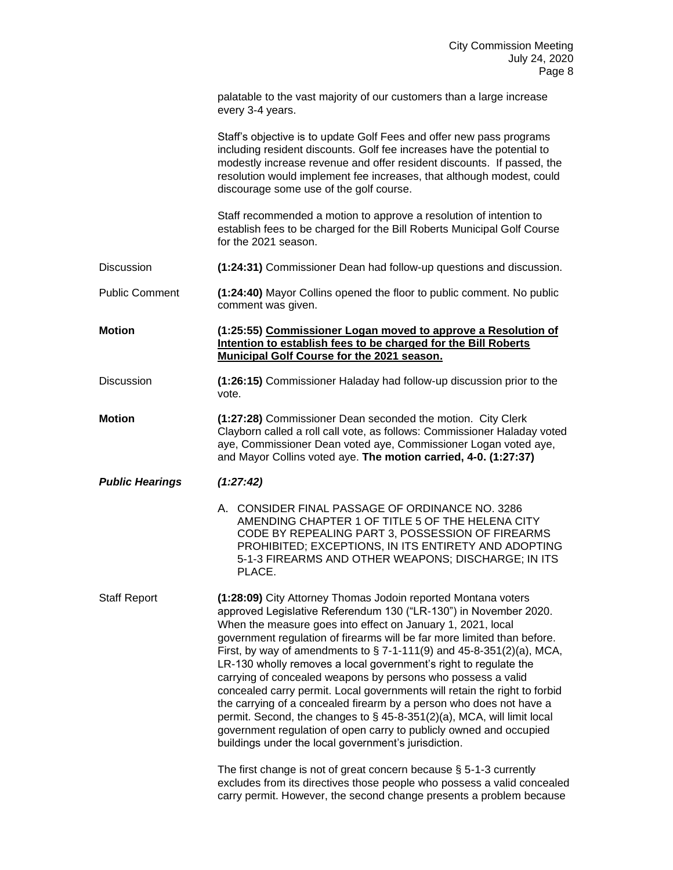| palatable to the vast majority of our customers than a large increase |  |
|-----------------------------------------------------------------------|--|
| every 3-4 years.                                                      |  |

Staff's objective is to update Golf Fees and offer new pass programs including resident discounts. Golf fee increases have the potential to modestly increase revenue and offer resident discounts. If passed, the resolution would implement fee increases, that although modest, could discourage some use of the golf course.

Staff recommended a motion to approve a resolution of intention to establish fees to be charged for the Bill Roberts Municipal Golf Course for the 2021 season.

Discussion **(1:24:31)** Commissioner Dean had follow-up questions and discussion.

Public Comment **(1:24:40)** Mayor Collins opened the floor to public comment. No public comment was given.

**Motion (1:25:55) Commissioner Logan moved to approve a Resolution of Intention to establish fees to be charged for the Bill Roberts Municipal Golf Course for the 2021 season.**

- Discussion **(1:26:15)** Commissioner Haladay had follow-up discussion prior to the vote.
- **Motion (1:27:28)** Commissioner Dean seconded the motion. City Clerk Clayborn called a roll call vote, as follows: Commissioner Haladay voted aye, Commissioner Dean voted aye, Commissioner Logan voted aye, and Mayor Collins voted aye. **The motion carried, 4-0. (1:27:37)**
- *Public Hearings (1:27:42)* 
	- A. CONSIDER FINAL PASSAGE OF ORDINANCE NO. 3286 AMENDING CHAPTER 1 OF TITLE 5 OF THE HELENA CITY CODE BY REPEALING PART 3, POSSESSION OF FIREARMS PROHIBITED; EXCEPTIONS, IN ITS ENTIRETY AND ADOPTING 5-1-3 FIREARMS AND OTHER WEAPONS; DISCHARGE; IN ITS PLACE.

Staff Report **(1:28:09)** City Attorney Thomas Jodoin reported Montana voters approved Legislative Referendum 130 ("LR-130") in November 2020. When the measure goes into effect on January 1, 2021, local government regulation of firearms will be far more limited than before. First, by way of amendments to  $\S$  7-1-111(9) and 45-8-351(2)(a), MCA, LR-130 wholly removes a local government's right to regulate the carrying of concealed weapons by persons who possess a valid concealed carry permit. Local governments will retain the right to forbid the carrying of a concealed firearm by a person who does not have a permit. Second, the changes to § 45-8-351(2)(a), MCA, will limit local government regulation of open carry to publicly owned and occupied buildings under the local government's jurisdiction.

> The first change is not of great concern because § 5-1-3 currently excludes from its directives those people who possess a valid concealed carry permit. However, the second change presents a problem because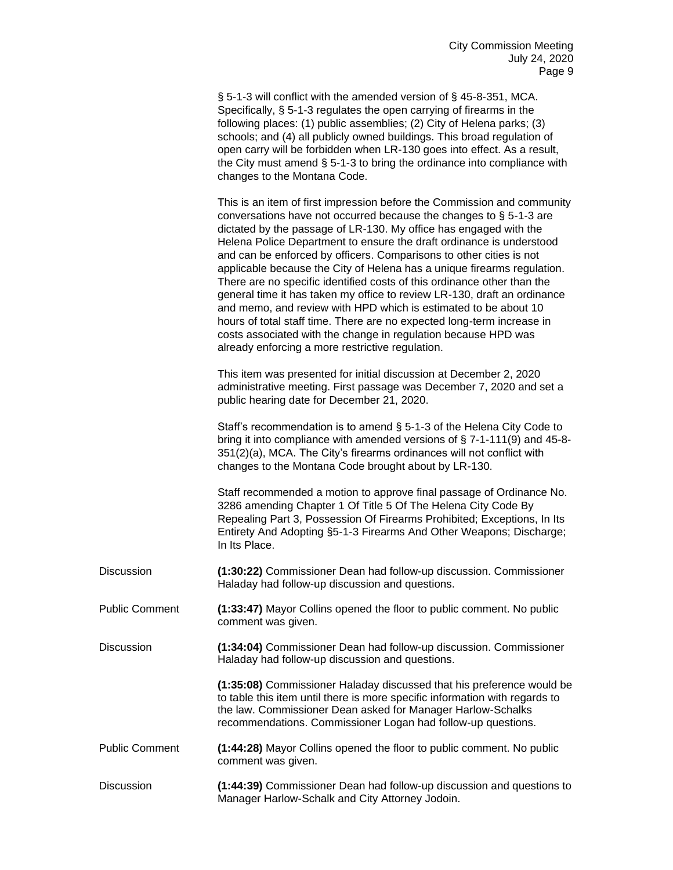|                       | § 5-1-3 will conflict with the amended version of § 45-8-351, MCA.<br>Specifically, § 5-1-3 regulates the open carrying of firearms in the<br>following places: (1) public assemblies; (2) City of Helena parks; (3)<br>schools; and (4) all publicly owned buildings. This broad regulation of<br>open carry will be forbidden when LR-130 goes into effect. As a result,<br>the City must amend § 5-1-3 to bring the ordinance into compliance with<br>changes to the Montana Code.                                                                                                                                                                                                                                                                                                                                                                                     |
|-----------------------|---------------------------------------------------------------------------------------------------------------------------------------------------------------------------------------------------------------------------------------------------------------------------------------------------------------------------------------------------------------------------------------------------------------------------------------------------------------------------------------------------------------------------------------------------------------------------------------------------------------------------------------------------------------------------------------------------------------------------------------------------------------------------------------------------------------------------------------------------------------------------|
|                       | This is an item of first impression before the Commission and community<br>conversations have not occurred because the changes to $\S$ 5-1-3 are<br>dictated by the passage of LR-130. My office has engaged with the<br>Helena Police Department to ensure the draft ordinance is understood<br>and can be enforced by officers. Comparisons to other cities is not<br>applicable because the City of Helena has a unique firearms regulation.<br>There are no specific identified costs of this ordinance other than the<br>general time it has taken my office to review LR-130, draft an ordinance<br>and memo, and review with HPD which is estimated to be about 10<br>hours of total staff time. There are no expected long-term increase in<br>costs associated with the change in regulation because HPD was<br>already enforcing a more restrictive regulation. |
|                       | This item was presented for initial discussion at December 2, 2020<br>administrative meeting. First passage was December 7, 2020 and set a<br>public hearing date for December 21, 2020.                                                                                                                                                                                                                                                                                                                                                                                                                                                                                                                                                                                                                                                                                  |
|                       | Staff's recommendation is to amend $\S$ 5-1-3 of the Helena City Code to<br>bring it into compliance with amended versions of § 7-1-111(9) and 45-8-<br>351(2)(a), MCA. The City's firearms ordinances will not conflict with<br>changes to the Montana Code brought about by LR-130.                                                                                                                                                                                                                                                                                                                                                                                                                                                                                                                                                                                     |
|                       | Staff recommended a motion to approve final passage of Ordinance No.<br>3286 amending Chapter 1 Of Title 5 Of The Helena City Code By<br>Repealing Part 3, Possession Of Firearms Prohibited; Exceptions, In Its<br>Entirety And Adopting §5-1-3 Firearms And Other Weapons; Discharge;<br>In Its Place.                                                                                                                                                                                                                                                                                                                                                                                                                                                                                                                                                                  |
| Discussion            | (1:30:22) Commissioner Dean had follow-up discussion. Commissioner<br>Haladay had follow-up discussion and questions.                                                                                                                                                                                                                                                                                                                                                                                                                                                                                                                                                                                                                                                                                                                                                     |
| <b>Public Comment</b> | (1:33:47) Mayor Collins opened the floor to public comment. No public<br>comment was given.                                                                                                                                                                                                                                                                                                                                                                                                                                                                                                                                                                                                                                                                                                                                                                               |
| Discussion            | (1:34:04) Commissioner Dean had follow-up discussion. Commissioner<br>Haladay had follow-up discussion and questions.                                                                                                                                                                                                                                                                                                                                                                                                                                                                                                                                                                                                                                                                                                                                                     |
|                       | (1:35:08) Commissioner Haladay discussed that his preference would be<br>to table this item until there is more specific information with regards to<br>the law. Commissioner Dean asked for Manager Harlow-Schalks<br>recommendations. Commissioner Logan had follow-up questions.                                                                                                                                                                                                                                                                                                                                                                                                                                                                                                                                                                                       |
| <b>Public Comment</b> | (1:44:28) Mayor Collins opened the floor to public comment. No public<br>comment was given.                                                                                                                                                                                                                                                                                                                                                                                                                                                                                                                                                                                                                                                                                                                                                                               |
| Discussion            | (1:44:39) Commissioner Dean had follow-up discussion and questions to<br>Manager Harlow-Schalk and City Attorney Jodoin.                                                                                                                                                                                                                                                                                                                                                                                                                                                                                                                                                                                                                                                                                                                                                  |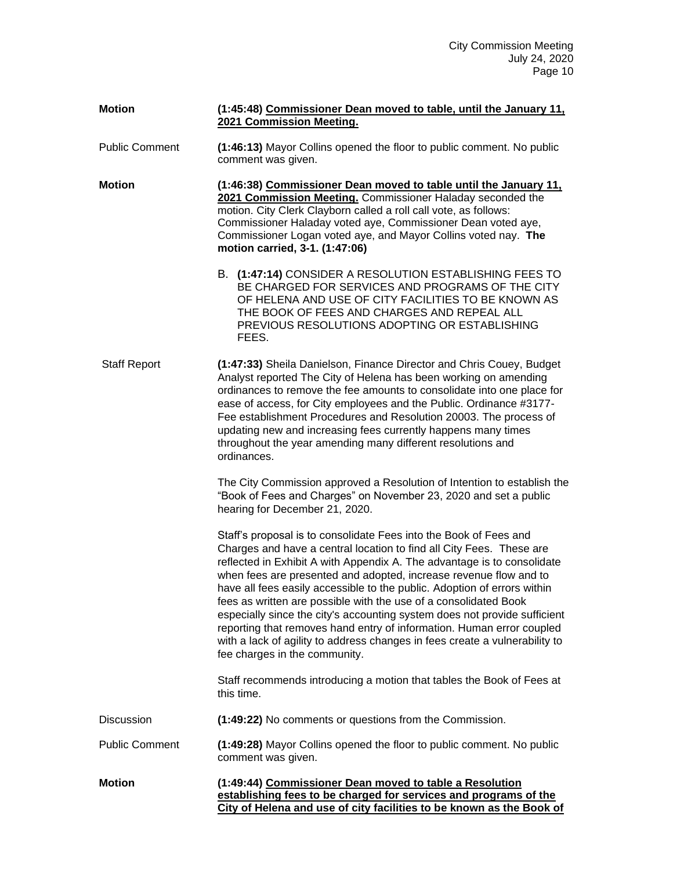| <b>Motion</b>         | (1:45:48) Commissioner Dean moved to table, until the January 11,<br>2021 Commission Meeting.                                                                                                                                                                                                                                                                                                                                                                                                                                                                                                                                                                                                                   |
|-----------------------|-----------------------------------------------------------------------------------------------------------------------------------------------------------------------------------------------------------------------------------------------------------------------------------------------------------------------------------------------------------------------------------------------------------------------------------------------------------------------------------------------------------------------------------------------------------------------------------------------------------------------------------------------------------------------------------------------------------------|
| <b>Public Comment</b> | (1:46:13) Mayor Collins opened the floor to public comment. No public<br>comment was given.                                                                                                                                                                                                                                                                                                                                                                                                                                                                                                                                                                                                                     |
| <b>Motion</b>         | (1:46:38) Commissioner Dean moved to table until the January 11,<br>2021 Commission Meeting. Commissioner Haladay seconded the<br>motion. City Clerk Clayborn called a roll call vote, as follows:<br>Commissioner Haladay voted aye, Commissioner Dean voted aye,<br>Commissioner Logan voted aye, and Mayor Collins voted nay. The<br>motion carried, 3-1. (1:47:06)                                                                                                                                                                                                                                                                                                                                          |
|                       | B. (1:47:14) CONSIDER A RESOLUTION ESTABLISHING FEES TO<br>BE CHARGED FOR SERVICES AND PROGRAMS OF THE CITY<br>OF HELENA AND USE OF CITY FACILITIES TO BE KNOWN AS<br>THE BOOK OF FEES AND CHARGES AND REPEAL ALL<br>PREVIOUS RESOLUTIONS ADOPTING OR ESTABLISHING<br>FEES.                                                                                                                                                                                                                                                                                                                                                                                                                                     |
| <b>Staff Report</b>   | (1:47:33) Sheila Danielson, Finance Director and Chris Couey, Budget<br>Analyst reported The City of Helena has been working on amending<br>ordinances to remove the fee amounts to consolidate into one place for<br>ease of access, for City employees and the Public. Ordinance #3177-<br>Fee establishment Procedures and Resolution 20003. The process of<br>updating new and increasing fees currently happens many times<br>throughout the year amending many different resolutions and<br>ordinances.                                                                                                                                                                                                   |
|                       | The City Commission approved a Resolution of Intention to establish the<br>"Book of Fees and Charges" on November 23, 2020 and set a public<br>hearing for December 21, 2020.                                                                                                                                                                                                                                                                                                                                                                                                                                                                                                                                   |
|                       | Staff's proposal is to consolidate Fees into the Book of Fees and<br>Charges and have a central location to find all City Fees. These are<br>reflected in Exhibit A with Appendix A. The advantage is to consolidate<br>when fees are presented and adopted, increase revenue flow and to<br>have all fees easily accessible to the public. Adoption of errors within<br>fees as written are possible with the use of a consolidated Book<br>especially since the city's accounting system does not provide sufficient<br>reporting that removes hand entry of information. Human error coupled<br>with a lack of agility to address changes in fees create a vulnerability to<br>fee charges in the community. |
|                       | Staff recommends introducing a motion that tables the Book of Fees at<br>this time.                                                                                                                                                                                                                                                                                                                                                                                                                                                                                                                                                                                                                             |
| <b>Discussion</b>     | (1:49:22) No comments or questions from the Commission.                                                                                                                                                                                                                                                                                                                                                                                                                                                                                                                                                                                                                                                         |
| <b>Public Comment</b> | (1:49:28) Mayor Collins opened the floor to public comment. No public<br>comment was given.                                                                                                                                                                                                                                                                                                                                                                                                                                                                                                                                                                                                                     |
| <b>Motion</b>         | (1:49:44) Commissioner Dean moved to table a Resolution<br>establishing fees to be charged for services and programs of the<br>City of Helena and use of city facilities to be known as the Book of                                                                                                                                                                                                                                                                                                                                                                                                                                                                                                             |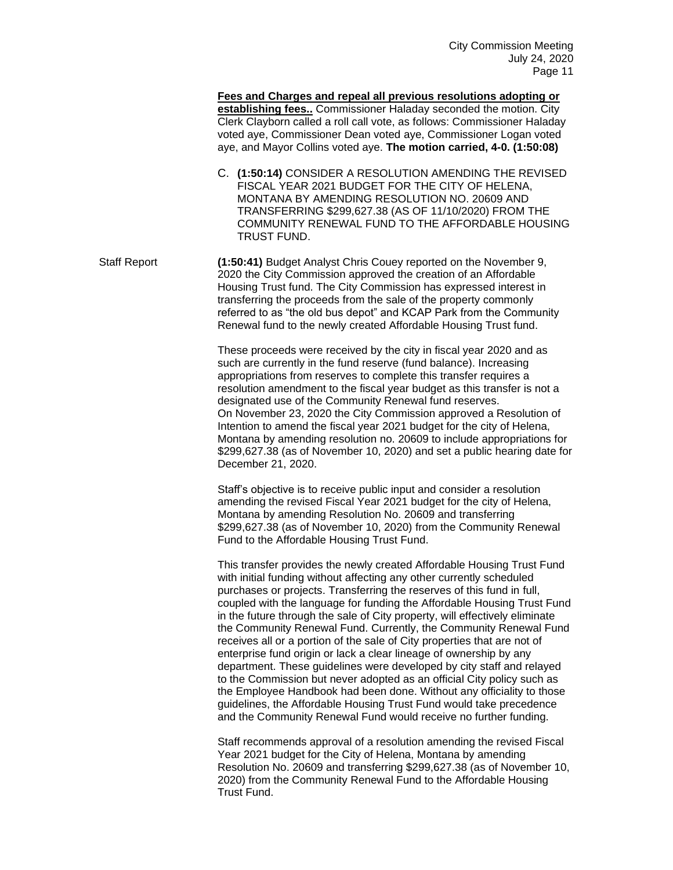**Fees and Charges and repeal all previous resolutions adopting or establishing fees..** Commissioner Haladay seconded the motion. City Clerk Clayborn called a roll call vote, as follows: Commissioner Haladay voted aye, Commissioner Dean voted aye, Commissioner Logan voted aye, and Mayor Collins voted aye. **The motion carried, 4-0. (1:50:08)**

C. **(1:50:14)** CONSIDER A RESOLUTION AMENDING THE REVISED FISCAL YEAR 2021 BUDGET FOR THE CITY OF HELENA, MONTANA BY AMENDING RESOLUTION NO. 20609 AND TRANSFERRING \$299,627.38 (AS OF 11/10/2020) FROM THE COMMUNITY RENEWAL FUND TO THE AFFORDABLE HOUSING TRUST FUND.

Staff Report **(1:50:41)** Budget Analyst Chris Couey reported on the November 9, 2020 the City Commission approved the creation of an Affordable Housing Trust fund. The City Commission has expressed interest in transferring the proceeds from the sale of the property commonly referred to as "the old bus depot" and KCAP Park from the Community Renewal fund to the newly created Affordable Housing Trust fund.

> These proceeds were received by the city in fiscal year 2020 and as such are currently in the fund reserve (fund balance). Increasing appropriations from reserves to complete this transfer requires a resolution amendment to the fiscal year budget as this transfer is not a designated use of the Community Renewal fund reserves. On November 23, 2020 the City Commission approved a Resolution of Intention to amend the fiscal year 2021 budget for the city of Helena, Montana by amending resolution no. 20609 to include appropriations for \$299,627.38 (as of November 10, 2020) and set a public hearing date for December 21, 2020.

Staff's objective is to receive public input and consider a resolution amending the revised Fiscal Year 2021 budget for the city of Helena, Montana by amending Resolution No. 20609 and transferring \$299,627.38 (as of November 10, 2020) from the Community Renewal Fund to the Affordable Housing Trust Fund.

This transfer provides the newly created Affordable Housing Trust Fund with initial funding without affecting any other currently scheduled purchases or projects. Transferring the reserves of this fund in full, coupled with the language for funding the Affordable Housing Trust Fund in the future through the sale of City property, will effectively eliminate the Community Renewal Fund. Currently, the Community Renewal Fund receives all or a portion of the sale of City properties that are not of enterprise fund origin or lack a clear lineage of ownership by any department. These guidelines were developed by city staff and relayed to the Commission but never adopted as an official City policy such as the Employee Handbook had been done. Without any officiality to those guidelines, the Affordable Housing Trust Fund would take precedence and the Community Renewal Fund would receive no further funding.

Staff recommends approval of a resolution amending the revised Fiscal Year 2021 budget for the City of Helena, Montana by amending Resolution No. 20609 and transferring \$299,627.38 (as of November 10, 2020) from the Community Renewal Fund to the Affordable Housing Trust Fund.